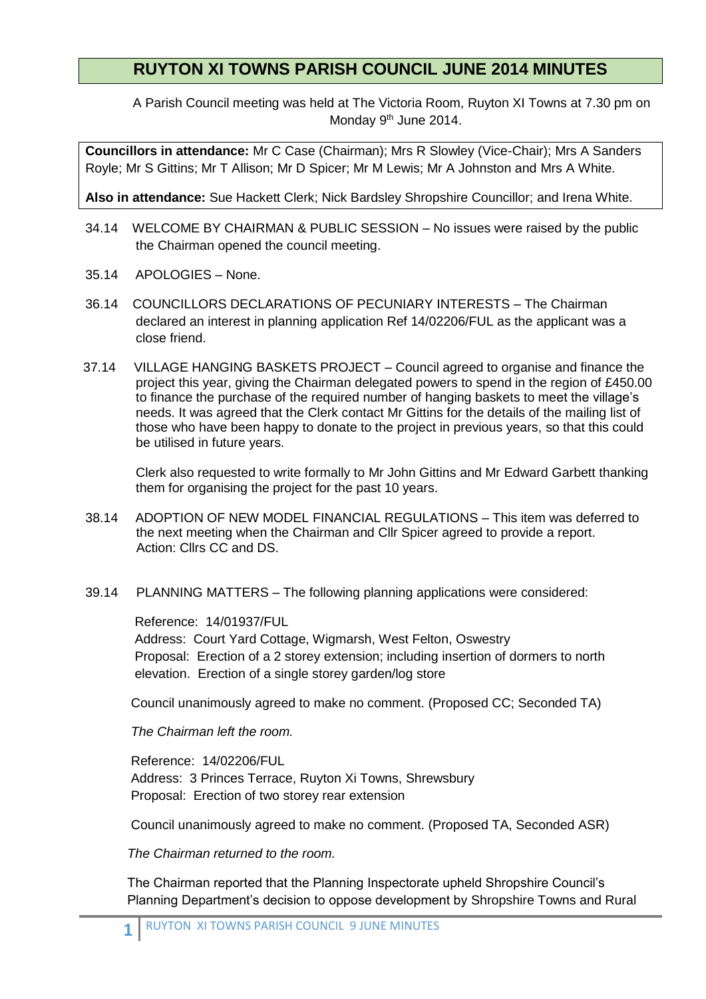## **RUYTON XI TOWNS PARISH COUNCIL JUNE 2014 MINUTES**

A Parish Council meeting was held at The Victoria Room, Ruyton XI Towns at 7.30 pm on Monday 9<sup>th</sup> June 2014.

**Councillors in attendance:** Mr C Case (Chairman); Mrs R Slowley (Vice-Chair); Mrs A Sanders Royle; Mr S Gittins; Mr T Allison; Mr D Spicer; Mr M Lewis; Mr A Johnston and Mrs A White.

**Also in attendance:** Sue Hackett Clerk; Nick Bardsley Shropshire Councillor; and Irena White.

- 34.14 WELCOME BY CHAIRMAN & PUBLIC SESSION No issues were raised by the public the Chairman opened the council meeting.
- 35.14 APOLOGIES None.
- 36.14 COUNCILLORS DECLARATIONS OF PECUNIARY INTERESTS The Chairman declared an interest in planning application Ref 14/02206/FUL as the applicant was a close friend.
- 37.14 VILLAGE HANGING BASKETS PROJECT Council agreed to organise and finance the project this year, giving the Chairman delegated powers to spend in the region of £450.00 to finance the purchase of the required number of hanging baskets to meet the village's needs. It was agreed that the Clerk contact Mr Gittins for the details of the mailing list of those who have been happy to donate to the project in previous years, so that this could be utilised in future years.

Clerk also requested to write formally to Mr John Gittins and Mr Edward Garbett thanking them for organising the project for the past 10 years.

- 38.14 ADOPTION OF NEW MODEL FINANCIAL REGULATIONS This item was deferred to the next meeting when the Chairman and Cllr Spicer agreed to provide a report. Action: Cllrs CC and DS.
- 39.14 PLANNING MATTERS The following planning applications were considered:

Reference: 14/01937/FUL

 Address: Court Yard Cottage, Wigmarsh, West Felton, Oswestry Proposal: Erection of a 2 storey extension; including insertion of dormers to north elevation. Erection of a single storey garden/log store

Council unanimously agreed to make no comment. (Proposed CC; Seconded TA)

*The Chairman left the room.*

Reference: 14/02206/FUL Address: 3 Princes Terrace, Ruyton Xi Towns, Shrewsbury Proposal: Erection of two storey rear extension

Council unanimously agreed to make no comment. (Proposed TA, Seconded ASR)

*The Chairman returned to the room.*

The Chairman reported that the Planning Inspectorate upheld Shropshire Council's Planning Department's decision to oppose development by Shropshire Towns and Rural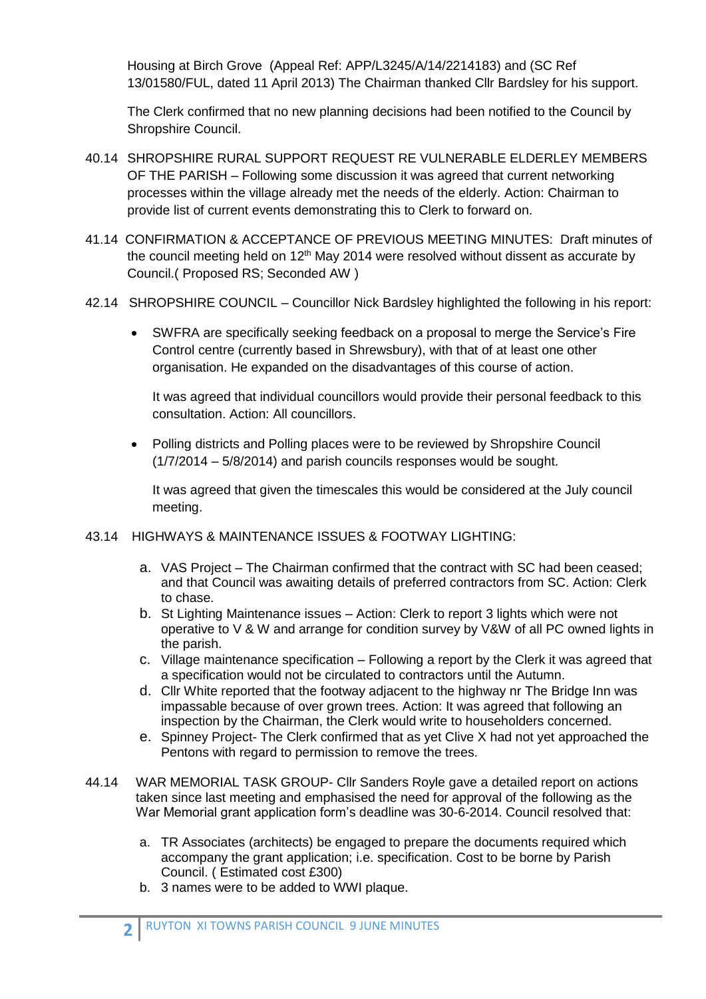Housing at Birch Grove (Appeal Ref: APP/L3245/A/14/2214183) and (SC Ref 13/01580/FUL, dated 11 April 2013) The Chairman thanked Cllr Bardsley for his support.

The Clerk confirmed that no new planning decisions had been notified to the Council by Shropshire Council.

- 40.14 SHROPSHIRE RURAL SUPPORT REQUEST RE VULNERABLE ELDERLEY MEMBERS OF THE PARISH – Following some discussion it was agreed that current networking processes within the village already met the needs of the elderly. Action: Chairman to provide list of current events demonstrating this to Clerk to forward on.
- 41.14 CONFIRMATION & ACCEPTANCE OF PREVIOUS MEETING MINUTES: Draft minutes of the council meeting held on  $12<sup>th</sup>$  May 2014 were resolved without dissent as accurate by Council.( Proposed RS; Seconded AW )
- 42.14 SHROPSHIRE COUNCIL Councillor Nick Bardsley highlighted the following in his report:
	- SWFRA are specifically seeking feedback on a proposal to merge the Service's Fire Control centre (currently based in Shrewsbury), with that of at least one other organisation. He expanded on the disadvantages of this course of action.

It was agreed that individual councillors would provide their personal feedback to this consultation. Action: All councillors.

 Polling districts and Polling places were to be reviewed by Shropshire Council (1/7/2014 – 5/8/2014) and parish councils responses would be sought.

It was agreed that given the timescales this would be considered at the July council meeting.

- 43.14 HIGHWAYS & MAINTENANCE ISSUES & FOOTWAY LIGHTING:
	- a. VAS Project The Chairman confirmed that the contract with SC had been ceased; and that Council was awaiting details of preferred contractors from SC. Action: Clerk to chase.
	- b. St Lighting Maintenance issues Action: Clerk to report 3 lights which were not operative to V & W and arrange for condition survey by V&W of all PC owned lights in the parish.
	- c. Village maintenance specification Following a report by the Clerk it was agreed that a specification would not be circulated to contractors until the Autumn.
	- d. Cllr White reported that the footway adjacent to the highway nr The Bridge Inn was impassable because of over grown trees. Action: It was agreed that following an inspection by the Chairman, the Clerk would write to householders concerned.
	- e. Spinney Project- The Clerk confirmed that as yet Clive X had not yet approached the Pentons with regard to permission to remove the trees.
- 44.14 WAR MEMORIAL TASK GROUP- Cllr Sanders Royle gave a detailed report on actions taken since last meeting and emphasised the need for approval of the following as the War Memorial grant application form's deadline was 30-6-2014. Council resolved that:
	- a. TR Associates (architects) be engaged to prepare the documents required which accompany the grant application; i.e. specification. Cost to be borne by Parish Council. ( Estimated cost £300)
	- b. 3 names were to be added to WWI plaque.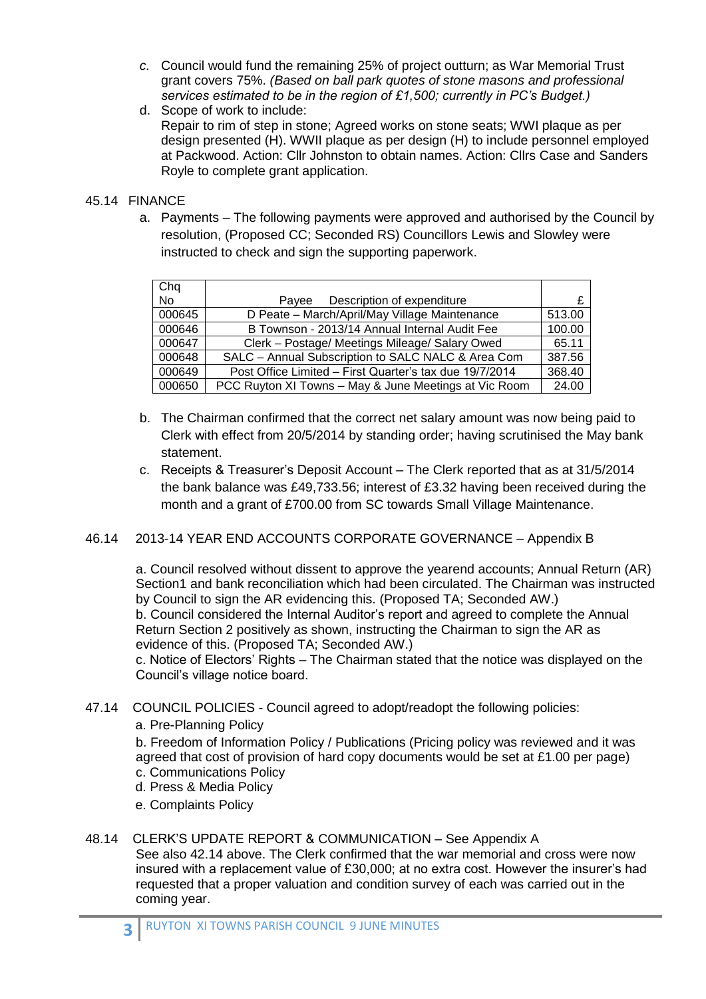- *c.* Council would fund the remaining 25% of project outturn; as War Memorial Trust grant covers 75%. *(Based on ball park quotes of stone masons and professional services estimated to be in the region of £1,500; currently in PC's Budget.)*
- d. Scope of work to include: Repair to rim of step in stone; Agreed works on stone seats; WWI plaque as per design presented (H). WWII plaque as per design (H) to include personnel employed at Packwood. Action: Cllr Johnston to obtain names. Action: Cllrs Case and Sanders Royle to complete grant application.

## 45.14 FINANCE

a. Payments – The following payments were approved and authorised by the Council by resolution, (Proposed CC; Seconded RS) Councillors Lewis and Slowley were instructed to check and sign the supporting paperwork.

| Chq    |                                                         |        |
|--------|---------------------------------------------------------|--------|
| No     | Description of expenditure<br>Pavee                     |        |
| 000645 | D Peate - March/April/May Village Maintenance           | 513.00 |
| 000646 | B Townson - 2013/14 Annual Internal Audit Fee           | 100.00 |
| 000647 | Clerk – Postage/ Meetings Mileage/ Salary Owed          | 65.11  |
| 000648 | SALC - Annual Subscription to SALC NALC & Area Com      | 387.56 |
| 000649 | Post Office Limited - First Quarter's tax due 19/7/2014 | 368.40 |
| 000650 | PCC Ruyton XI Towns - May & June Meetings at Vic Room   | 24.00  |

- b. The Chairman confirmed that the correct net salary amount was now being paid to Clerk with effect from 20/5/2014 by standing order; having scrutinised the May bank statement.
- c. Receipts & Treasurer's Deposit Account The Clerk reported that as at 31/5/2014 the bank balance was £49,733.56; interest of £3.32 having been received during the month and a grant of £700.00 from SC towards Small Village Maintenance.

## 46.14 2013-14 YEAR END ACCOUNTS CORPORATE GOVERNANCE – Appendix B

a. Council resolved without dissent to approve the yearend accounts; Annual Return (AR) Section1 and bank reconciliation which had been circulated. The Chairman was instructed by Council to sign the AR evidencing this. (Proposed TA; Seconded AW.) b. Council considered the Internal Auditor's report and agreed to complete the Annual Return Section 2 positively as shown, instructing the Chairman to sign the AR as evidence of this. (Proposed TA; Seconded AW.) c. Notice of Electors' Rights – The Chairman stated that the notice was displayed on the

Council's village notice board.

- 47.14 COUNCIL POLICIES Council agreed to adopt/readopt the following policies:
	- a. Pre-Planning Policy

b. Freedom of Information Policy / Publications (Pricing policy was reviewed and it was agreed that cost of provision of hard copy documents would be set at £1.00 per page) c. Communications Policy

- d. Press & Media Policy
- 
- e. Complaints Policy
- 48.14 CLERK'S UPDATE REPORT & COMMUNICATION See Appendix A

See also 42.14 above. The Clerk confirmed that the war memorial and cross were now insured with a replacement value of £30,000; at no extra cost. However the insurer's had requested that a proper valuation and condition survey of each was carried out in the coming year.